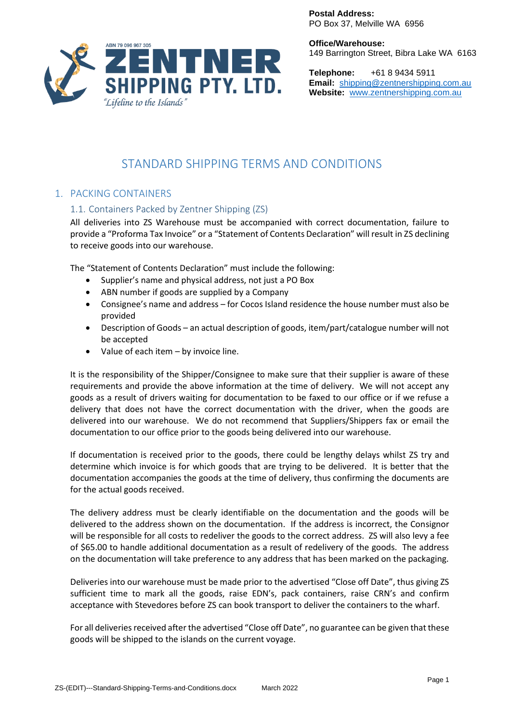**Postal Address:** PO Box 37, Melville WA 6956

**Office/Warehouse:** 149 Barrington Street, Bibra Lake WA 6163

**ZENTNER**<br>SHIPPING PTY. LTD. "Lifeline to the Islands

**Telephone:** +61 8 9434 5911 **Email:** [shipping@zentnershipping.com.au](mailto:shipping@zentnershipping.com.au) **Website:** [www.zentnershipping.com.au](http://www.zentnershipping.com.au/)

# STANDARD SHIPPING TERMS AND CONDITIONS

# 1. PACKING CONTAINERS

ABN 79 096 967 305

# 1.1. Containers Packed by Zentner Shipping (ZS)

All deliveries into ZS Warehouse must be accompanied with correct documentation, failure to provide a "Proforma Tax Invoice" or a "Statement of Contents Declaration" will result in ZS declining to receive goods into our warehouse.

The "Statement of Contents Declaration" must include the following:

- Supplier's name and physical address, not just a PO Box
- ABN number if goods are supplied by a Company
- Consignee's name and address for Cocos Island residence the house number must also be provided
- Description of Goods an actual description of goods, item/part/catalogue number will not be accepted
- Value of each item by invoice line.

It is the responsibility of the Shipper/Consignee to make sure that their supplier is aware of these requirements and provide the above information at the time of delivery. We will not accept any goods as a result of drivers waiting for documentation to be faxed to our office or if we refuse a delivery that does not have the correct documentation with the driver, when the goods are delivered into our warehouse. We do not recommend that Suppliers/Shippers fax or email the documentation to our office prior to the goods being delivered into our warehouse.

If documentation is received prior to the goods, there could be lengthy delays whilst ZS try and determine which invoice is for which goods that are trying to be delivered. It is better that the documentation accompanies the goods at the time of delivery, thus confirming the documents are for the actual goods received.

The delivery address must be clearly identifiable on the documentation and the goods will be delivered to the address shown on the documentation. If the address is incorrect, the Consignor will be responsible for all costs to redeliver the goods to the correct address. ZS will also levy a fee of \$65.00 to handle additional documentation as a result of redelivery of the goods. The address on the documentation will take preference to any address that has been marked on the packaging.

Deliveries into our warehouse must be made prior to the advertised "Close off Date", thus giving ZS sufficient time to mark all the goods, raise EDN's, pack containers, raise CRN's and confirm acceptance with Stevedores before ZS can book transport to deliver the containers to the wharf.

For all deliveries received after the advertised "Close off Date", no guarantee can be given that these goods will be shipped to the islands on the current voyage.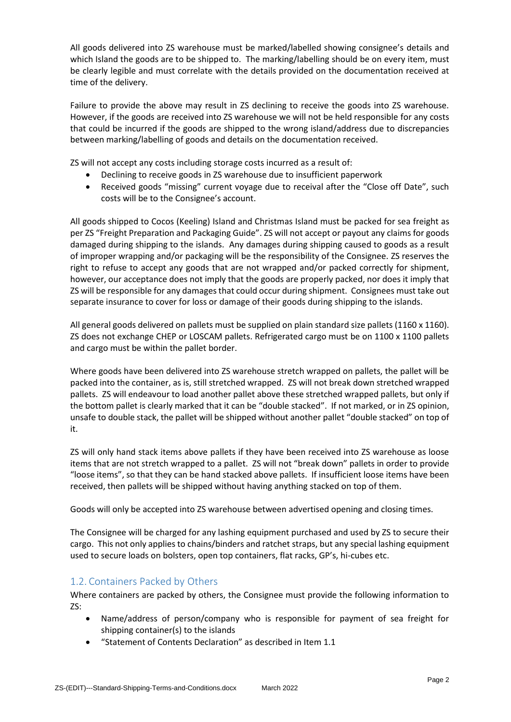All goods delivered into ZS warehouse must be marked/labelled showing consignee's details and which Island the goods are to be shipped to. The marking/labelling should be on every item, must be clearly legible and must correlate with the details provided on the documentation received at time of the delivery.

Failure to provide the above may result in ZS declining to receive the goods into ZS warehouse. However, if the goods are received into ZS warehouse we will not be held responsible for any costs that could be incurred if the goods are shipped to the wrong island/address due to discrepancies between marking/labelling of goods and details on the documentation received.

ZS will not accept any costs including storage costs incurred as a result of:

- Declining to receive goods in ZS warehouse due to insufficient paperwork
- Received goods "missing" current voyage due to receival after the "Close off Date", such costs will be to the Consignee's account.

All goods shipped to Cocos (Keeling) Island and Christmas Island must be packed for sea freight as per ZS "Freight Preparation and Packaging Guide". ZS will not accept or payout any claims for goods damaged during shipping to the islands. Any damages during shipping caused to goods as a result of improper wrapping and/or packaging will be the responsibility of the Consignee. ZS reserves the right to refuse to accept any goods that are not wrapped and/or packed correctly for shipment, however, our acceptance does not imply that the goods are properly packed, nor does it imply that ZS will be responsible for any damages that could occur during shipment. Consignees must take out separate insurance to cover for loss or damage of their goods during shipping to the islands.

All general goods delivered on pallets must be supplied on plain standard size pallets (1160 x 1160). ZS does not exchange CHEP or LOSCAM pallets. Refrigerated cargo must be on 1100 x 1100 pallets and cargo must be within the pallet border.

Where goods have been delivered into ZS warehouse stretch wrapped on pallets, the pallet will be packed into the container, as is, still stretched wrapped. ZS will not break down stretched wrapped pallets. ZS will endeavour to load another pallet above these stretched wrapped pallets, but only if the bottom pallet is clearly marked that it can be "double stacked". If not marked, or in ZS opinion, unsafe to double stack, the pallet will be shipped without another pallet "double stacked" on top of it.

ZS will only hand stack items above pallets if they have been received into ZS warehouse as loose items that are not stretch wrapped to a pallet. ZS will not "break down" pallets in order to provide "loose items", so that they can be hand stacked above pallets. If insufficient loose items have been received, then pallets will be shipped without having anything stacked on top of them.

Goods will only be accepted into ZS warehouse between advertised opening and closing times.

The Consignee will be charged for any lashing equipment purchased and used by ZS to secure their cargo. This not only applies to chains/binders and ratchet straps, but any special lashing equipment used to secure loads on bolsters, open top containers, flat racks, GP's, hi-cubes etc.

# 1.2. Containers Packed by Others

Where containers are packed by others, the Consignee must provide the following information to ZS:

- Name/address of person/company who is responsible for payment of sea freight for shipping container(s) to the islands
- "Statement of Contents Declaration" as described in Item 1.1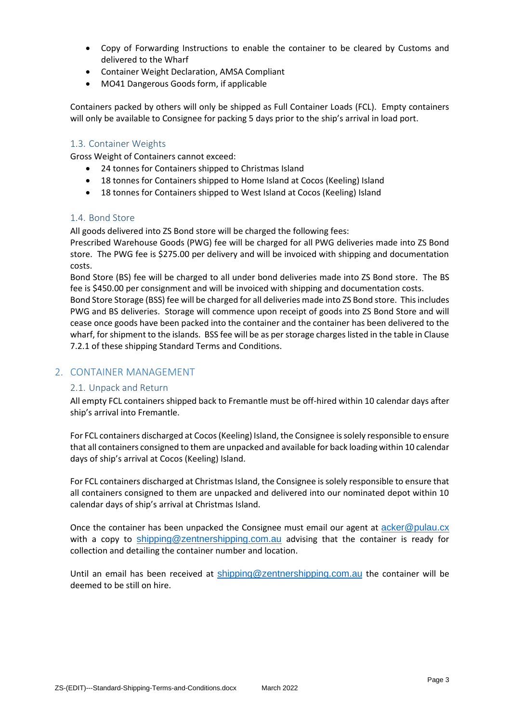- Copy of Forwarding Instructions to enable the container to be cleared by Customs and delivered to the Wharf
- Container Weight Declaration, AMSA Compliant
- MO41 Dangerous Goods form, if applicable

Containers packed by others will only be shipped as Full Container Loads (FCL). Empty containers will only be available to Consignee for packing 5 days prior to the ship's arrival in load port.

### 1.3. Container Weights

Gross Weight of Containers cannot exceed:

- 24 tonnes for Containers shipped to Christmas Island
- 18 tonnes for Containers shipped to Home Island at Cocos (Keeling) Island
- 18 tonnes for Containers shipped to West Island at Cocos (Keeling) Island

#### 1.4. Bond Store

All goods delivered into ZS Bond store will be charged the following fees:

Prescribed Warehouse Goods (PWG) fee will be charged for all PWG deliveries made into ZS Bond store. The PWG fee is \$275.00 per delivery and will be invoiced with shipping and documentation costs.

Bond Store (BS) fee will be charged to all under bond deliveries made into ZS Bond store. The BS fee is \$450.00 per consignment and will be invoiced with shipping and documentation costs.

Bond Store Storage (BSS) fee will be charged for all deliveries made into ZS Bond store. This includes PWG and BS deliveries. Storage will commence upon receipt of goods into ZS Bond Store and will cease once goods have been packed into the container and the container has been delivered to the wharf, for shipment to the islands. BSS fee will be as per storage charges listed in the table in Clause 7.2.1 of these shipping Standard Terms and Conditions.

# 2. CONTAINER MANAGEMENT

#### 2.1. Unpack and Return

All empty FCL containers shipped back to Fremantle must be off-hired within 10 calendar days after ship's arrival into Fremantle.

For FCL containers discharged at Cocos (Keeling) Island, the Consignee is solely responsible to ensure that all containers consigned to them are unpacked and available for back loading within 10 calendar days of ship's arrival at Cocos (Keeling) Island.

For FCL containers discharged at Christmas Island, the Consignee is solely responsible to ensure that all containers consigned to them are unpacked and delivered into our nominated depot within 10 calendar days of ship's arrival at Christmas Island.

Once the container has been unpacked the Consignee must email our agent at [acker@pulau.cx](mailto:acker@pulau.cx) with a copy to [shipping@zentnershipping.com.au](mailto:shipping@zentnershipping.com.au) advising that the container is ready for collection and detailing the container number and location.

Until an email has been received at [shipping@zentnershipping.com.au](mailto:shipping@zentnershipping.com.au) the container will be deemed to be still on hire.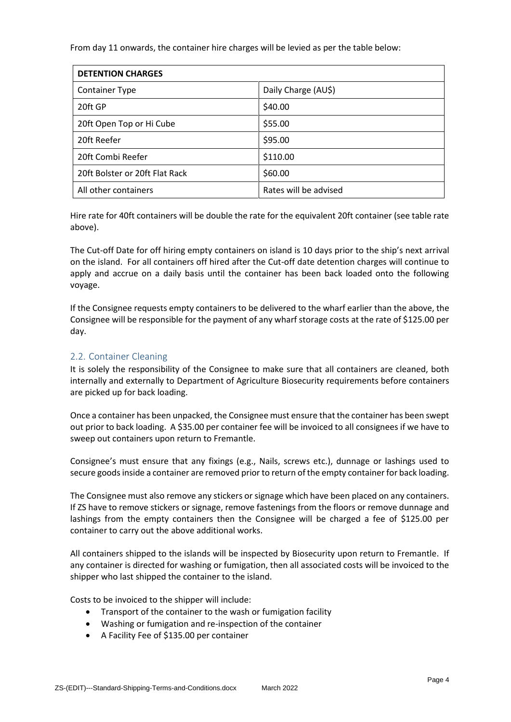From day 11 onwards, the container hire charges will be levied as per the table below:

| <b>DETENTION CHARGES</b>       |                       |
|--------------------------------|-----------------------|
| <b>Container Type</b>          | Daily Charge (AU\$)   |
| 20ft GP                        | \$40.00               |
| 20ft Open Top or Hi Cube       | \$55.00               |
| 20ft Reefer                    | \$95.00               |
| 20ft Combi Reefer              | \$110.00              |
| 20ft Bolster or 20ft Flat Rack | \$60.00               |
| All other containers           | Rates will be advised |

Hire rate for 40ft containers will be double the rate for the equivalent 20ft container (see table rate above).

The Cut-off Date for off hiring empty containers on island is 10 days prior to the ship's next arrival on the island. For all containers off hired after the Cut-off date detention charges will continue to apply and accrue on a daily basis until the container has been back loaded onto the following voyage.

If the Consignee requests empty containers to be delivered to the wharf earlier than the above, the Consignee will be responsible for the payment of any wharf storage costs at the rate of \$125.00 per day.

# 2.2. Container Cleaning

It is solely the responsibility of the Consignee to make sure that all containers are cleaned, both internally and externally to Department of Agriculture Biosecurity requirements before containers are picked up for back loading.

Once a container has been unpacked, the Consignee must ensure that the container has been swept out prior to back loading. A \$35.00 per container fee will be invoiced to all consignees if we have to sweep out containers upon return to Fremantle.

Consignee's must ensure that any fixings (e.g., Nails, screws etc.), dunnage or lashings used to secure goods inside a container are removed prior to return of the empty container for back loading.

The Consignee must also remove any stickers or signage which have been placed on any containers. If ZS have to remove stickers or signage, remove fastenings from the floors or remove dunnage and lashings from the empty containers then the Consignee will be charged a fee of \$125.00 per container to carry out the above additional works.

All containers shipped to the islands will be inspected by Biosecurity upon return to Fremantle. If any container is directed for washing or fumigation, then all associated costs will be invoiced to the shipper who last shipped the container to the island.

Costs to be invoiced to the shipper will include:

- Transport of the container to the wash or fumigation facility
- Washing or fumigation and re-inspection of the container
- A Facility Fee of \$135.00 per container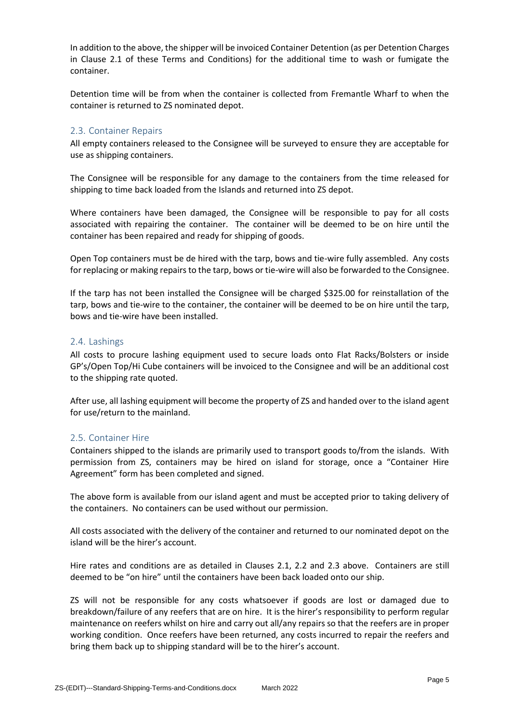In addition to the above, the shipper will be invoiced Container Detention (as per Detention Charges in Clause 2.1 of these Terms and Conditions) for the additional time to wash or fumigate the container.

Detention time will be from when the container is collected from Fremantle Wharf to when the container is returned to ZS nominated depot.

### 2.3. Container Repairs

All empty containers released to the Consignee will be surveyed to ensure they are acceptable for use as shipping containers.

The Consignee will be responsible for any damage to the containers from the time released for shipping to time back loaded from the Islands and returned into ZS depot.

Where containers have been damaged, the Consignee will be responsible to pay for all costs associated with repairing the container. The container will be deemed to be on hire until the container has been repaired and ready for shipping of goods.

Open Top containers must be de hired with the tarp, bows and tie-wire fully assembled. Any costs for replacing or making repairs to the tarp, bows or tie-wire will also be forwarded to the Consignee.

If the tarp has not been installed the Consignee will be charged \$325.00 for reinstallation of the tarp, bows and tie-wire to the container, the container will be deemed to be on hire until the tarp, bows and tie-wire have been installed.

#### 2.4. Lashings

All costs to procure lashing equipment used to secure loads onto Flat Racks/Bolsters or inside GP's/Open Top/Hi Cube containers will be invoiced to the Consignee and will be an additional cost to the shipping rate quoted.

After use, all lashing equipment will become the property of ZS and handed over to the island agent for use/return to the mainland.

#### 2.5. Container Hire

Containers shipped to the islands are primarily used to transport goods to/from the islands. With permission from ZS, containers may be hired on island for storage, once a "Container Hire Agreement" form has been completed and signed.

The above form is available from our island agent and must be accepted prior to taking delivery of the containers. No containers can be used without our permission.

All costs associated with the delivery of the container and returned to our nominated depot on the island will be the hirer's account.

Hire rates and conditions are as detailed in Clauses 2.1, 2.2 and 2.3 above. Containers are still deemed to be "on hire" until the containers have been back loaded onto our ship.

ZS will not be responsible for any costs whatsoever if goods are lost or damaged due to breakdown/failure of any reefers that are on hire. It is the hirer's responsibility to perform regular maintenance on reefers whilst on hire and carry out all/any repairs so that the reefers are in proper working condition. Once reefers have been returned, any costs incurred to repair the reefers and bring them back up to shipping standard will be to the hirer's account.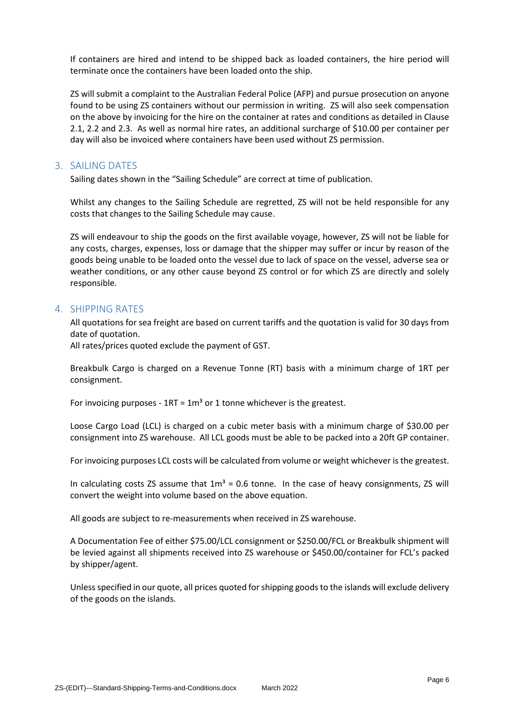If containers are hired and intend to be shipped back as loaded containers, the hire period will terminate once the containers have been loaded onto the ship.

ZS will submit a complaint to the Australian Federal Police (AFP) and pursue prosecution on anyone found to be using ZS containers without our permission in writing. ZS will also seek compensation on the above by invoicing for the hire on the container at rates and conditions as detailed in Clause 2.1, 2.2 and 2.3. As well as normal hire rates, an additional surcharge of \$10.00 per container per day will also be invoiced where containers have been used without ZS permission.

# 3. SAILING DATES

Sailing dates shown in the "Sailing Schedule" are correct at time of publication.

Whilst any changes to the Sailing Schedule are regretted, ZS will not be held responsible for any costs that changes to the Sailing Schedule may cause.

ZS will endeavour to ship the goods on the first available voyage, however, ZS will not be liable for any costs, charges, expenses, loss or damage that the shipper may suffer or incur by reason of the goods being unable to be loaded onto the vessel due to lack of space on the vessel, adverse sea or weather conditions, or any other cause beyond ZS control or for which ZS are directly and solely responsible.

# 4. SHIPPING RATES

All quotations for sea freight are based on current tariffs and the quotation is valid for 30 days from date of quotation.

All rates/prices quoted exclude the payment of GST.

Breakbulk Cargo is charged on a Revenue Tonne (RT) basis with a minimum charge of 1RT per consignment.

For invoicing purposes -  $1RT = 1m<sup>3</sup>$  or 1 tonne whichever is the greatest.

Loose Cargo Load (LCL) is charged on a cubic meter basis with a minimum charge of \$30.00 per consignment into ZS warehouse. All LCL goods must be able to be packed into a 20ft GP container.

For invoicing purposes LCL costs will be calculated from volume or weight whichever is the greatest.

In calculating costs ZS assume that  $1m<sup>3</sup> = 0.6$  tonne. In the case of heavy consignments, ZS will convert the weight into volume based on the above equation.

All goods are subject to re-measurements when received in ZS warehouse.

A Documentation Fee of either \$75.00/LCL consignment or \$250.00/FCL or Breakbulk shipment will be levied against all shipments received into ZS warehouse or \$450.00/container for FCL's packed by shipper/agent.

Unless specified in our quote, all prices quoted for shipping goods to the islands will exclude delivery of the goods on the islands.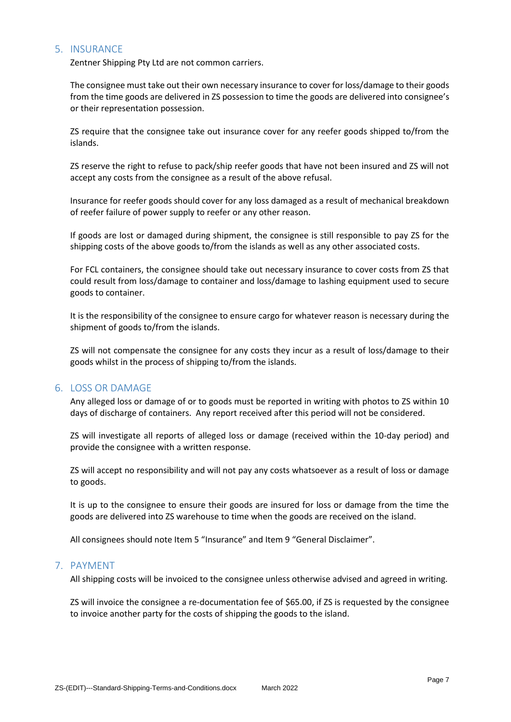#### 5. INSURANCE

Zentner Shipping Pty Ltd are not common carriers.

The consignee must take out their own necessary insurance to cover for loss/damage to their goods from the time goods are delivered in ZS possession to time the goods are delivered into consignee's or their representation possession.

ZS require that the consignee take out insurance cover for any reefer goods shipped to/from the islands.

ZS reserve the right to refuse to pack/ship reefer goods that have not been insured and ZS will not accept any costs from the consignee as a result of the above refusal.

Insurance for reefer goods should cover for any loss damaged as a result of mechanical breakdown of reefer failure of power supply to reefer or any other reason.

If goods are lost or damaged during shipment, the consignee is still responsible to pay ZS for the shipping costs of the above goods to/from the islands as well as any other associated costs.

For FCL containers, the consignee should take out necessary insurance to cover costs from ZS that could result from loss/damage to container and loss/damage to lashing equipment used to secure goods to container.

It is the responsibility of the consignee to ensure cargo for whatever reason is necessary during the shipment of goods to/from the islands.

ZS will not compensate the consignee for any costs they incur as a result of loss/damage to their goods whilst in the process of shipping to/from the islands.

# 6. LOSS OR DAMAGE

Any alleged loss or damage of or to goods must be reported in writing with photos to ZS within 10 days of discharge of containers. Any report received after this period will not be considered.

ZS will investigate all reports of alleged loss or damage (received within the 10-day period) and provide the consignee with a written response.

ZS will accept no responsibility and will not pay any costs whatsoever as a result of loss or damage to goods.

It is up to the consignee to ensure their goods are insured for loss or damage from the time the goods are delivered into ZS warehouse to time when the goods are received on the island.

All consignees should note Item 5 "Insurance" and Item 9 "General Disclaimer".

#### 7. PAYMENT

All shipping costs will be invoiced to the consignee unless otherwise advised and agreed in writing.

ZS will invoice the consignee a re-documentation fee of \$65.00, if ZS is requested by the consignee to invoice another party for the costs of shipping the goods to the island.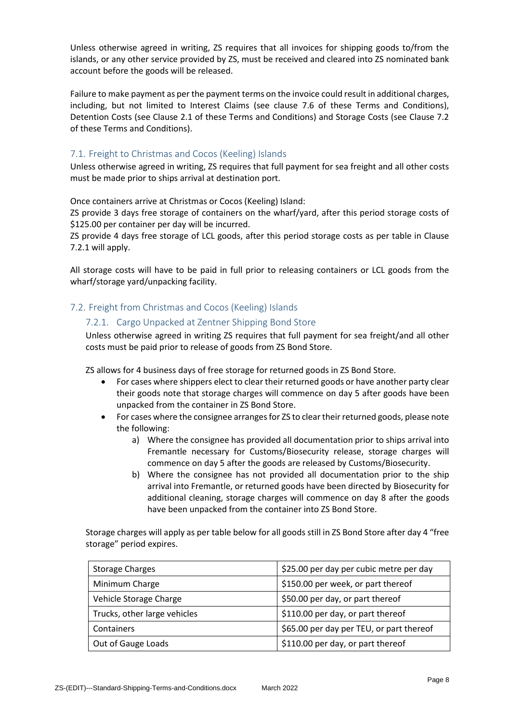Unless otherwise agreed in writing, ZS requires that all invoices for shipping goods to/from the islands, or any other service provided by ZS, must be received and cleared into ZS nominated bank account before the goods will be released.

Failure to make payment as per the payment terms on the invoice could result in additional charges, including, but not limited to Interest Claims (see clause 7.6 of these Terms and Conditions), Detention Costs (see Clause 2.1 of these Terms and Conditions) and Storage Costs (see Clause 7.2 of these Terms and Conditions).

# 7.1. Freight to Christmas and Cocos (Keeling) Islands

Unless otherwise agreed in writing, ZS requires that full payment for sea freight and all other costs must be made prior to ships arrival at destination port.

Once containers arrive at Christmas or Cocos (Keeling) Island:

ZS provide 3 days free storage of containers on the wharf/yard, after this period storage costs of \$125.00 per container per day will be incurred.

ZS provide 4 days free storage of LCL goods, after this period storage costs as per table in Clause 7.2.1 will apply.

All storage costs will have to be paid in full prior to releasing containers or LCL goods from the wharf/storage yard/unpacking facility.

# 7.2. Freight from Christmas and Cocos (Keeling) Islands

#### 7.2.1. Cargo Unpacked at Zentner Shipping Bond Store

Unless otherwise agreed in writing ZS requires that full payment for sea freight/and all other costs must be paid prior to release of goods from ZS Bond Store.

ZS allows for 4 business days of free storage for returned goods in ZS Bond Store.

- For cases where shippers elect to clear their returned goods or have another party clear their goods note that storage charges will commence on day 5 after goods have been unpacked from the container in ZS Bond Store.
- For cases where the consignee arranges for ZS to clear their returned goods, please note the following:
	- a) Where the consignee has provided all documentation prior to ships arrival into Fremantle necessary for Customs/Biosecurity release, storage charges will commence on day 5 after the goods are released by Customs/Biosecurity.
	- b) Where the consignee has not provided all documentation prior to the ship arrival into Fremantle, or returned goods have been directed by Biosecurity for additional cleaning, storage charges will commence on day 8 after the goods have been unpacked from the container into ZS Bond Store.

Storage charges will apply as per table below for all goods still in ZS Bond Store after day 4 "free storage" period expires.

| <b>Storage Charges</b>       | \$25.00 per day per cubic metre per day  |
|------------------------------|------------------------------------------|
| Minimum Charge               | \$150.00 per week, or part thereof       |
| Vehicle Storage Charge       | \$50.00 per day, or part thereof         |
| Trucks, other large vehicles | \$110.00 per day, or part thereof        |
| Containers                   | \$65.00 per day per TEU, or part thereof |
| Out of Gauge Loads           | \$110.00 per day, or part thereof        |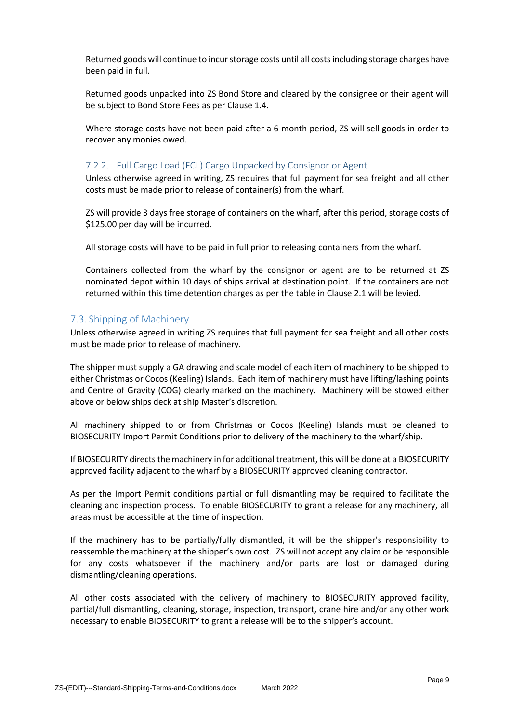Returned goods will continue to incur storage costs until all costs including storage charges have been paid in full.

Returned goods unpacked into ZS Bond Store and cleared by the consignee or their agent will be subject to Bond Store Fees as per Clause 1.4.

Where storage costs have not been paid after a 6-month period, ZS will sell goods in order to recover any monies owed.

#### 7.2.2. Full Cargo Load (FCL) Cargo Unpacked by Consignor or Agent

Unless otherwise agreed in writing, ZS requires that full payment for sea freight and all other costs must be made prior to release of container(s) from the wharf.

ZS will provide 3 days free storage of containers on the wharf, after this period, storage costs of \$125.00 per day will be incurred.

All storage costs will have to be paid in full prior to releasing containers from the wharf.

Containers collected from the wharf by the consignor or agent are to be returned at ZS nominated depot within 10 days of ships arrival at destination point. If the containers are not returned within this time detention charges as per the table in Clause 2.1 will be levied.

# 7.3. Shipping of Machinery

Unless otherwise agreed in writing ZS requires that full payment for sea freight and all other costs must be made prior to release of machinery.

The shipper must supply a GA drawing and scale model of each item of machinery to be shipped to either Christmas or Cocos (Keeling) Islands. Each item of machinery must have lifting/lashing points and Centre of Gravity (COG) clearly marked on the machinery. Machinery will be stowed either above or below ships deck at ship Master's discretion.

All machinery shipped to or from Christmas or Cocos (Keeling) Islands must be cleaned to BIOSECURITY Import Permit Conditions prior to delivery of the machinery to the wharf/ship.

If BIOSECURITY directs the machinery in for additional treatment, this will be done at a BIOSECURITY approved facility adjacent to the wharf by a BIOSECURITY approved cleaning contractor.

As per the Import Permit conditions partial or full dismantling may be required to facilitate the cleaning and inspection process. To enable BIOSECURITY to grant a release for any machinery, all areas must be accessible at the time of inspection.

If the machinery has to be partially/fully dismantled, it will be the shipper's responsibility to reassemble the machinery at the shipper's own cost. ZS will not accept any claim or be responsible for any costs whatsoever if the machinery and/or parts are lost or damaged during dismantling/cleaning operations.

All other costs associated with the delivery of machinery to BIOSECURITY approved facility, partial/full dismantling, cleaning, storage, inspection, transport, crane hire and/or any other work necessary to enable BIOSECURITY to grant a release will be to the shipper's account.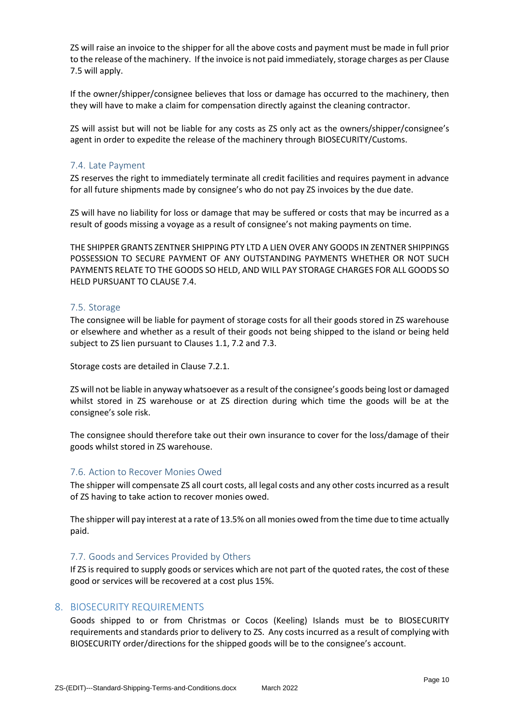ZS will raise an invoice to the shipper for all the above costs and payment must be made in full prior to the release of the machinery. If the invoice is not paid immediately, storage charges as per Clause 7.5 will apply.

If the owner/shipper/consignee believes that loss or damage has occurred to the machinery, then they will have to make a claim for compensation directly against the cleaning contractor.

ZS will assist but will not be liable for any costs as ZS only act as the owners/shipper/consignee's agent in order to expedite the release of the machinery through BIOSECURITY/Customs.

### 7.4. Late Payment

ZS reserves the right to immediately terminate all credit facilities and requires payment in advance for all future shipments made by consignee's who do not pay ZS invoices by the due date.

ZS will have no liability for loss or damage that may be suffered or costs that may be incurred as a result of goods missing a voyage as a result of consignee's not making payments on time.

THE SHIPPER GRANTS ZENTNER SHIPPING PTY LTD A LIEN OVER ANY GOODS IN ZENTNER SHIPPINGS POSSESSION TO SECURE PAYMENT OF ANY OUTSTANDING PAYMENTS WHETHER OR NOT SUCH PAYMENTS RELATE TO THE GOODS SO HELD, AND WILL PAY STORAGE CHARGES FOR ALL GOODS SO HELD PURSUANT TO CLAUSE 7.4.

#### 7.5. Storage

The consignee will be liable for payment of storage costs for all their goods stored in ZS warehouse or elsewhere and whether as a result of their goods not being shipped to the island or being held subject to ZS lien pursuant to Clauses 1.1, 7.2 and 7.3.

Storage costs are detailed in Clause 7.2.1.

ZS will not be liable in anyway whatsoever as a result of the consignee's goods being lost or damaged whilst stored in ZS warehouse or at ZS direction during which time the goods will be at the consignee's sole risk.

The consignee should therefore take out their own insurance to cover for the loss/damage of their goods whilst stored in ZS warehouse.

# 7.6. Action to Recover Monies Owed

The shipper will compensate ZS all court costs, all legal costs and any other costs incurred as a result of ZS having to take action to recover monies owed.

The shipper will pay interest at a rate of 13.5% on all monies owed from the time due to time actually paid.

# 7.7. Goods and Services Provided by Others

If ZS is required to supply goods or services which are not part of the quoted rates, the cost of these good or services will be recovered at a cost plus 15%.

# 8. BIOSECURITY REQUIREMENTS

Goods shipped to or from Christmas or Cocos (Keeling) Islands must be to BIOSECURITY requirements and standards prior to delivery to ZS. Any costs incurred as a result of complying with BIOSECURITY order/directions for the shipped goods will be to the consignee's account.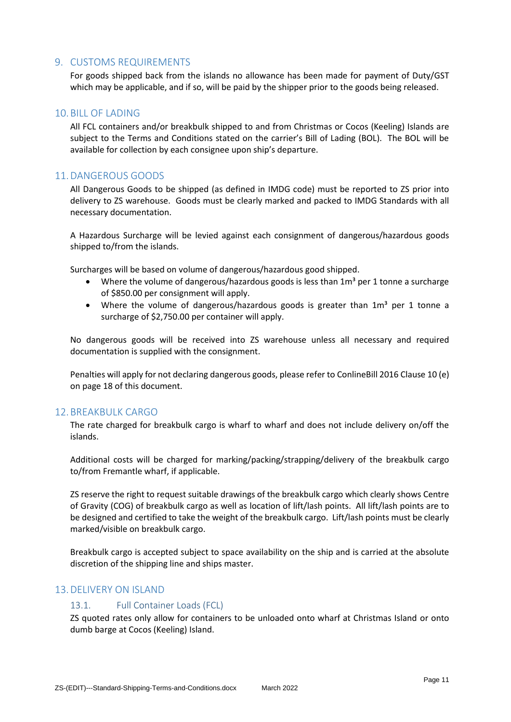# 9. CUSTOMS REQUIREMENTS

For goods shipped back from the islands no allowance has been made for payment of Duty/GST which may be applicable, and if so, will be paid by the shipper prior to the goods being released.

### 10.BILL OF LADING

All FCL containers and/or breakbulk shipped to and from Christmas or Cocos (Keeling) Islands are subject to the Terms and Conditions stated on the carrier's Bill of Lading (BOL). The BOL will be available for collection by each consignee upon ship's departure.

# 11.DANGEROUS GOODS

All Dangerous Goods to be shipped (as defined in IMDG code) must be reported to ZS prior into delivery to ZS warehouse. Goods must be clearly marked and packed to IMDG Standards with all necessary documentation.

A Hazardous Surcharge will be levied against each consignment of dangerous/hazardous goods shipped to/from the islands.

Surcharges will be based on volume of dangerous/hazardous good shipped.

- Where the volume of dangerous/hazardous goods is less than  $1m<sup>3</sup>$  per 1 tonne a surcharge of \$850.00 per consignment will apply.
- Where the volume of dangerous/hazardous goods is greater than  $1m<sup>3</sup>$  per 1 tonne a surcharge of \$2,750.00 per container will apply.

No dangerous goods will be received into ZS warehouse unless all necessary and required documentation is supplied with the consignment.

Penalties will apply for not declaring dangerous goods, please refer to ConlineBill 2016 Clause 10 (e) on page 18 of this document.

# 12.BREAKBULK CARGO

The rate charged for breakbulk cargo is wharf to wharf and does not include delivery on/off the islands.

Additional costs will be charged for marking/packing/strapping/delivery of the breakbulk cargo to/from Fremantle wharf, if applicable.

ZS reserve the right to request suitable drawings of the breakbulk cargo which clearly shows Centre of Gravity (COG) of breakbulk cargo as well as location of lift/lash points. All lift/lash points are to be designed and certified to take the weight of the breakbulk cargo. Lift/lash points must be clearly marked/visible on breakbulk cargo.

Breakbulk cargo is accepted subject to space availability on the ship and is carried at the absolute discretion of the shipping line and ships master.

# 13.DELIVERY ON ISLAND

# 13.1. Full Container Loads (FCL)

ZS quoted rates only allow for containers to be unloaded onto wharf at Christmas Island or onto dumb barge at Cocos (Keeling) Island.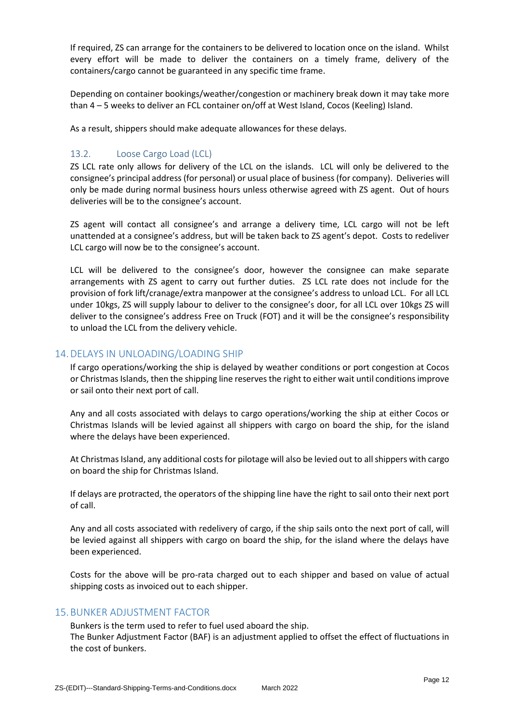If required, ZS can arrange for the containers to be delivered to location once on the island. Whilst every effort will be made to deliver the containers on a timely frame, delivery of the containers/cargo cannot be guaranteed in any specific time frame.

Depending on container bookings/weather/congestion or machinery break down it may take more than 4 – 5 weeks to deliver an FCL container on/off at West Island, Cocos (Keeling) Island.

As a result, shippers should make adequate allowances for these delays.

# 13.2. Loose Cargo Load (LCL)

ZS LCL rate only allows for delivery of the LCL on the islands. LCL will only be delivered to the consignee's principal address (for personal) or usual place of business (for company). Deliveries will only be made during normal business hours unless otherwise agreed with ZS agent. Out of hours deliveries will be to the consignee's account.

ZS agent will contact all consignee's and arrange a delivery time, LCL cargo will not be left unattended at a consignee's address, but will be taken back to ZS agent's depot. Costs to redeliver LCL cargo will now be to the consignee's account.

LCL will be delivered to the consignee's door, however the consignee can make separate arrangements with ZS agent to carry out further duties. ZS LCL rate does not include for the provision of fork lift/cranage/extra manpower at the consignee's address to unload LCL. For all LCL under 10kgs, ZS will supply labour to deliver to the consignee's door, for all LCL over 10kgs ZS will deliver to the consignee's address Free on Truck (FOT) and it will be the consignee's responsibility to unload the LCL from the delivery vehicle.

# 14.DELAYS IN UNLOADING/LOADING SHIP

If cargo operations/working the ship is delayed by weather conditions or port congestion at Cocos or Christmas Islands, then the shipping line reserves the right to either wait until conditions improve or sail onto their next port of call.

Any and all costs associated with delays to cargo operations/working the ship at either Cocos or Christmas Islands will be levied against all shippers with cargo on board the ship, for the island where the delays have been experienced.

At Christmas Island, any additional costs for pilotage will also be levied out to all shippers with cargo on board the ship for Christmas Island.

If delays are protracted, the operators of the shipping line have the right to sail onto their next port of call.

Any and all costs associated with redelivery of cargo, if the ship sails onto the next port of call, will be levied against all shippers with cargo on board the ship, for the island where the delays have been experienced.

Costs for the above will be pro-rata charged out to each shipper and based on value of actual shipping costs as invoiced out to each shipper.

# 15.BUNKER ADJUSTMENT FACTOR

Bunkers is the term used to refer to fuel used aboard the ship. The Bunker Adjustment Factor (BAF) is an adjustment applied to offset the effect of fluctuations in the cost of bunkers.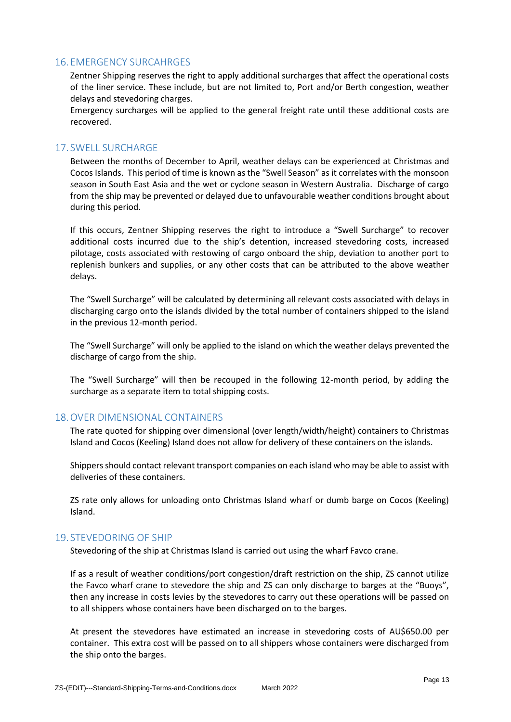# 16. EMERGENCY SURCAHRGES

Zentner Shipping reserves the right to apply additional surcharges that affect the operational costs of the liner service. These include, but are not limited to, Port and/or Berth congestion, weather delays and stevedoring charges.

Emergency surcharges will be applied to the general freight rate until these additional costs are recovered.

# 17. SWELL SURCHARGE

Between the months of December to April, weather delays can be experienced at Christmas and Cocos Islands. This period of time is known as the "Swell Season" as it correlates with the monsoon season in South East Asia and the wet or cyclone season in Western Australia. Discharge of cargo from the ship may be prevented or delayed due to unfavourable weather conditions brought about during this period.

If this occurs, Zentner Shipping reserves the right to introduce a "Swell Surcharge" to recover additional costs incurred due to the ship's detention, increased stevedoring costs, increased pilotage, costs associated with restowing of cargo onboard the ship, deviation to another port to replenish bunkers and supplies, or any other costs that can be attributed to the above weather delays.

The "Swell Surcharge" will be calculated by determining all relevant costs associated with delays in discharging cargo onto the islands divided by the total number of containers shipped to the island in the previous 12-month period.

The "Swell Surcharge" will only be applied to the island on which the weather delays prevented the discharge of cargo from the ship.

The "Swell Surcharge" will then be recouped in the following 12-month period, by adding the surcharge as a separate item to total shipping costs.

# 18.OVER DIMENSIONAL CONTAINERS

The rate quoted for shipping over dimensional (over length/width/height) containers to Christmas Island and Cocos (Keeling) Island does not allow for delivery of these containers on the islands.

Shippers should contact relevant transport companies on each island who may be able to assist with deliveries of these containers.

ZS rate only allows for unloading onto Christmas Island wharf or dumb barge on Cocos (Keeling) Island.

# 19. STEVEDORING OF SHIP

Stevedoring of the ship at Christmas Island is carried out using the wharf Favco crane.

If as a result of weather conditions/port congestion/draft restriction on the ship, ZS cannot utilize the Favco wharf crane to stevedore the ship and ZS can only discharge to barges at the "Buoys", then any increase in costs levies by the stevedores to carry out these operations will be passed on to all shippers whose containers have been discharged on to the barges.

At present the stevedores have estimated an increase in stevedoring costs of AU\$650.00 per container. This extra cost will be passed on to all shippers whose containers were discharged from the ship onto the barges.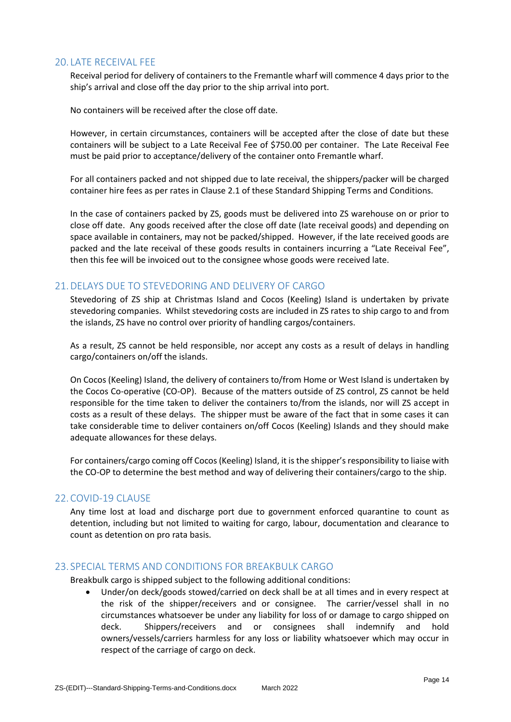# 20. LATE RECEIVAL FEE

Receival period for delivery of containers to the Fremantle wharf will commence 4 days prior to the ship's arrival and close off the day prior to the ship arrival into port.

No containers will be received after the close off date.

However, in certain circumstances, containers will be accepted after the close of date but these containers will be subject to a Late Receival Fee of \$750.00 per container. The Late Receival Fee must be paid prior to acceptance/delivery of the container onto Fremantle wharf.

For all containers packed and not shipped due to late receival, the shippers/packer will be charged container hire fees as per rates in Clause 2.1 of these Standard Shipping Terms and Conditions.

In the case of containers packed by ZS, goods must be delivered into ZS warehouse on or prior to close off date. Any goods received after the close off date (late receival goods) and depending on space available in containers, may not be packed/shipped. However, if the late received goods are packed and the late receival of these goods results in containers incurring a "Late Receival Fee", then this fee will be invoiced out to the consignee whose goods were received late.

# 21.DELAYS DUE TO STEVEDORING AND DELIVERY OF CARGO

Stevedoring of ZS ship at Christmas Island and Cocos (Keeling) Island is undertaken by private stevedoring companies. Whilst stevedoring costs are included in ZS rates to ship cargo to and from the islands, ZS have no control over priority of handling cargos/containers.

As a result, ZS cannot be held responsible, nor accept any costs as a result of delays in handling cargo/containers on/off the islands.

On Cocos (Keeling) Island, the delivery of containers to/from Home or West Island is undertaken by the Cocos Co-operative (CO-OP). Because of the matters outside of ZS control, ZS cannot be held responsible for the time taken to deliver the containers to/from the islands, nor will ZS accept in costs as a result of these delays. The shipper must be aware of the fact that in some cases it can take considerable time to deliver containers on/off Cocos (Keeling) Islands and they should make adequate allowances for these delays.

For containers/cargo coming off Cocos (Keeling) Island, it is the shipper's responsibility to liaise with the CO-OP to determine the best method and way of delivering their containers/cargo to the ship.

# 22.COVID-19 CLAUSE

Any time lost at load and discharge port due to government enforced quarantine to count as detention, including but not limited to waiting for cargo, labour, documentation and clearance to count as detention on pro rata basis.

# 23. SPECIAL TERMS AND CONDITIONS FOR BREAKBULK CARGO

Breakbulk cargo is shipped subject to the following additional conditions:

• Under/on deck/goods stowed/carried on deck shall be at all times and in every respect at the risk of the shipper/receivers and or consignee. The carrier/vessel shall in no circumstances whatsoever be under any liability for loss of or damage to cargo shipped on deck. Shippers/receivers and or consignees shall indemnify and hold owners/vessels/carriers harmless for any loss or liability whatsoever which may occur in respect of the carriage of cargo on deck.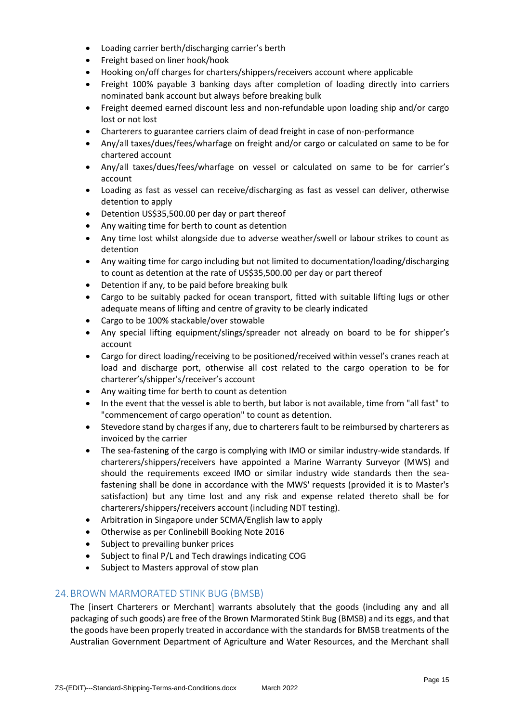- Loading carrier berth/discharging carrier's berth
- Freight based on liner hook/hook
- Hooking on/off charges for charters/shippers/receivers account where applicable
- Freight 100% payable 3 banking days after completion of loading directly into carriers nominated bank account but always before breaking bulk
- Freight deemed earned discount less and non-refundable upon loading ship and/or cargo lost or not lost
- Charterers to guarantee carriers claim of dead freight in case of non-performance
- Any/all taxes/dues/fees/wharfage on freight and/or cargo or calculated on same to be for chartered account
- Any/all taxes/dues/fees/wharfage on vessel or calculated on same to be for carrier's account
- Loading as fast as vessel can receive/discharging as fast as vessel can deliver, otherwise detention to apply
- Detention US\$35,500.00 per day or part thereof
- Any waiting time for berth to count as detention
- Any time lost whilst alongside due to adverse weather/swell or labour strikes to count as detention
- Any waiting time for cargo including but not limited to documentation/loading/discharging to count as detention at the rate of US\$35,500.00 per day or part thereof
- Detention if any, to be paid before breaking bulk
- Cargo to be suitably packed for ocean transport, fitted with suitable lifting lugs or other adequate means of lifting and centre of gravity to be clearly indicated
- Cargo to be 100% stackable/over stowable
- Any special lifting equipment/slings/spreader not already on board to be for shipper's account
- Cargo for direct loading/receiving to be positioned/received within vessel's cranes reach at load and discharge port, otherwise all cost related to the cargo operation to be for charterer's/shipper's/receiver's account
- Any waiting time for berth to count as detention
- In the event that the vessel is able to berth, but labor is not available, time from "all fast" to "commencement of cargo operation" to count as detention.
- Stevedore stand by charges if any, due to charterers fault to be reimbursed by charterers as invoiced by the carrier
- The sea-fastening of the cargo is complying with IMO or similar industry-wide standards. If charterers/shippers/receivers have appointed a Marine Warranty Surveyor (MWS) and should the requirements exceed IMO or similar industry wide standards then the seafastening shall be done in accordance with the MWS' requests (provided it is to Master's satisfaction) but any time lost and any risk and expense related thereto shall be for charterers/shippers/receivers account (including NDT testing).
- Arbitration in Singapore under SCMA/English law to apply
- Otherwise as per Conlinebill Booking Note 2016
- Subject to prevailing bunker prices
- Subject to final P/L and Tech drawings indicating COG
- Subject to Masters approval of stow plan

# 24.BROWN MARMORATED STINK BUG (BMSB)

The [insert Charterers or Merchant] warrants absolutely that the goods (including any and all packaging of such goods) are free of the Brown Marmorated Stink Bug (BMSB) and its eggs, and that the goods have been properly treated in accordance with the standards for BMSB treatments of the Australian Government Department of Agriculture and Water Resources, and the Merchant shall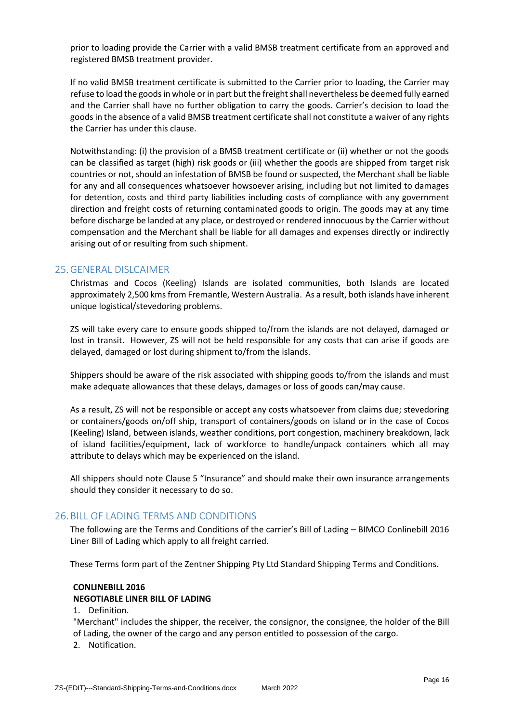prior to loading provide the Carrier with a valid BMSB treatment certificate from an approved and registered BMSB treatment provider.

If no valid BMSB treatment certificate is submitted to the Carrier prior to loading, the Carrier may refuse to load the goods in whole or in part but the freight shall nevertheless be deemed fully earned and the Carrier shall have no further obligation to carry the goods. Carrier's decision to load the goods in the absence of a valid BMSB treatment certificate shall not constitute a waiver of any rights the Carrier has under this clause.

Notwithstanding: (i) the provision of a BMSB treatment certificate or (ii) whether or not the goods can be classified as target (high) risk goods or (iii) whether the goods are shipped from target risk countries or not, should an infestation of BMSB be found or suspected, the Merchant shall be liable for any and all consequences whatsoever howsoever arising, including but not limited to damages for detention, costs and third party liabilities including costs of compliance with any government direction and freight costs of returning contaminated goods to origin. The goods may at any time before discharge be landed at any place, or destroyed or rendered innocuous by the Carrier without compensation and the Merchant shall be liable for all damages and expenses directly or indirectly arising out of or resulting from such shipment.

# 25.GENERAL DISLCAIMER

Christmas and Cocos (Keeling) Islands are isolated communities, both Islands are located approximately 2,500 kms from Fremantle, Western Australia. As a result, both islands have inherent unique logistical/stevedoring problems.

ZS will take every care to ensure goods shipped to/from the islands are not delayed, damaged or lost in transit. However, ZS will not be held responsible for any costs that can arise if goods are delayed, damaged or lost during shipment to/from the islands.

Shippers should be aware of the risk associated with shipping goods to/from the islands and must make adequate allowances that these delays, damages or loss of goods can/may cause.

As a result, ZS will not be responsible or accept any costs whatsoever from claims due; stevedoring or containers/goods on/off ship, transport of containers/goods on island or in the case of Cocos (Keeling) Island, between islands, weather conditions, port congestion, machinery breakdown, lack of island facilities/equipment, lack of workforce to handle/unpack containers which all may attribute to delays which may be experienced on the island.

All shippers should note Clause 5 "Insurance" and should make their own insurance arrangements should they consider it necessary to do so.

# 26.BILL OF LADING TERMS AND CONDITIONS

The following are the Terms and Conditions of the carrier's Bill of Lading – BIMCO Conlinebill 2016 Liner Bill of Lading which apply to all freight carried.

These Terms form part of the Zentner Shipping Pty Ltd Standard Shipping Terms and Conditions.

# **CONLINEBILL 2016 NEGOTIABLE LINER BILL OF LADING**

1. Definition.

"Merchant" includes the shipper, the receiver, the consignor, the consignee, the holder of the Bill of Lading, the owner of the cargo and any person entitled to possession of the cargo.

2. Notification.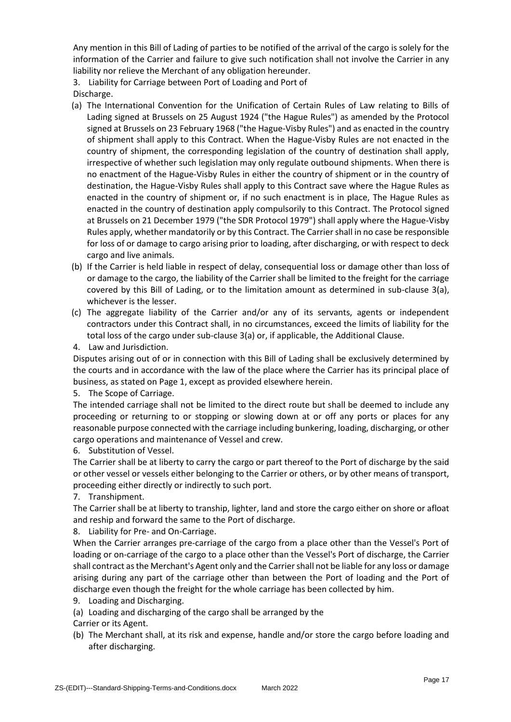Any mention in this Bill of Lading of parties to be notified of the arrival of the cargo is solely for the information of the Carrier and failure to give such notification shall not involve the Carrier in any liability nor relieve the Merchant of any obligation hereunder.

3. Liability for Carriage between Port of Loading and Port of Discharge.

- (a) The International Convention for the Unification of Certain Rules of Law relating to Bills of Lading signed at Brussels on 25 August 1924 ("the Hague Rules") as amended by the Protocol signed at Brussels on 23 February 1968 ("the Hague-Visby Rules") and as enacted in the country of shipment shall apply to this Contract. When the Hague-Visby Rules are not enacted in the country of shipment, the corresponding legislation of the country of destination shall apply, irrespective of whether such legislation may only regulate outbound shipments. When there is no enactment of the Hague-Visby Rules in either the country of shipment or in the country of destination, the Hague-Visby Rules shall apply to this Contract save where the Hague Rules as enacted in the country of shipment or, if no such enactment is in place, The Hague Rules as enacted in the country of destination apply compulsorily to this Contract. The Protocol signed at Brussels on 21 December 1979 ("the SDR Protocol 1979") shall apply where the Hague-Visby Rules apply, whether mandatorily or by this Contract. The Carrier shall in no case be responsible for loss of or damage to cargo arising prior to loading, after discharging, or with respect to deck cargo and live animals.
- (b) If the Carrier is held liable in respect of delay, consequential loss or damage other than loss of or damage to the cargo, the liability of the Carrier shall be limited to the freight for the carriage covered by this Bill of Lading, or to the limitation amount as determined in sub-clause 3(a), whichever is the lesser.
- (c) The aggregate liability of the Carrier and/or any of its servants, agents or independent contractors under this Contract shall, in no circumstances, exceed the limits of liability for the total loss of the cargo under sub-clause 3(a) or, if applicable, the Additional Clause.
- 4. Law and Jurisdiction.

Disputes arising out of or in connection with this Bill of Lading shall be exclusively determined by the courts and in accordance with the law of the place where the Carrier has its principal place of business, as stated on Page 1, except as provided elsewhere herein.

5. The Scope of Carriage.

The intended carriage shall not be limited to the direct route but shall be deemed to include any proceeding or returning to or stopping or slowing down at or off any ports or places for any reasonable purpose connected with the carriage including bunkering, loading, discharging, or other cargo operations and maintenance of Vessel and crew.

6. Substitution of Vessel.

The Carrier shall be at liberty to carry the cargo or part thereof to the Port of discharge by the said or other vessel or vessels either belonging to the Carrier or others, or by other means of transport, proceeding either directly or indirectly to such port.

7. Transhipment.

The Carrier shall be at liberty to tranship, lighter, land and store the cargo either on shore or afloat and reship and forward the same to the Port of discharge.

8. Liability for Pre- and On-Carriage.

When the Carrier arranges pre-carriage of the cargo from a place other than the Vessel's Port of loading or on-carriage of the cargo to a place other than the Vessel's Port of discharge, the Carrier shall contract as the Merchant's Agent only and the Carrier shall not be liable for any loss or damage arising during any part of the carriage other than between the Port of loading and the Port of discharge even though the freight for the whole carriage has been collected by him.

9. Loading and Discharging.

(a) Loading and discharging of the cargo shall be arranged by the Carrier or its Agent.

(b) The Merchant shall, at its risk and expense, handle and/or store the cargo before loading and after discharging.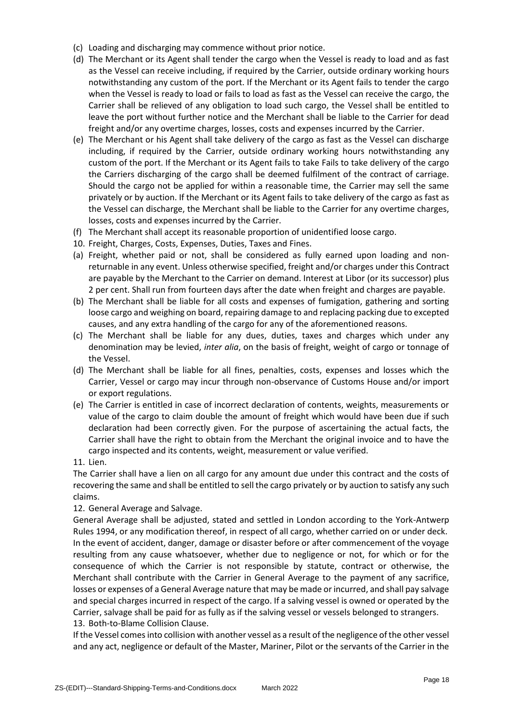- (c) Loading and discharging may commence without prior notice.
- (d) The Merchant or its Agent shall tender the cargo when the Vessel is ready to load and as fast as the Vessel can receive including, if required by the Carrier, outside ordinary working hours notwithstanding any custom of the port. If the Merchant or its Agent fails to tender the cargo when the Vessel is ready to load or fails to load as fast as the Vessel can receive the cargo, the Carrier shall be relieved of any obligation to load such cargo, the Vessel shall be entitled to leave the port without further notice and the Merchant shall be liable to the Carrier for dead freight and/or any overtime charges, losses, costs and expenses incurred by the Carrier.
- (e) The Merchant or his Agent shall take delivery of the cargo as fast as the Vessel can discharge including, if required by the Carrier, outside ordinary working hours notwithstanding any custom of the port. If the Merchant or its Agent fails to take Fails to take delivery of the cargo the Carriers discharging of the cargo shall be deemed fulfilment of the contract of carriage. Should the cargo not be applied for within a reasonable time, the Carrier may sell the same privately or by auction. If the Merchant or its Agent fails to take delivery of the cargo as fast as the Vessel can discharge, the Merchant shall be liable to the Carrier for any overtime charges, losses, costs and expenses incurred by the Carrier.
- (f) The Merchant shall accept its reasonable proportion of unidentified loose cargo.
- 10. Freight, Charges, Costs, Expenses, Duties, Taxes and Fines.
- (a) Freight, whether paid or not, shall be considered as fully earned upon loading and nonreturnable in any event. Unless otherwise specified, freight and/or charges under this Contract are payable by the Merchant to the Carrier on demand. Interest at Libor (or its successor) plus 2 per cent. Shall run from fourteen days after the date when freight and charges are payable.
- (b) The Merchant shall be liable for all costs and expenses of fumigation, gathering and sorting loose cargo and weighing on board, repairing damage to and replacing packing due to excepted causes, and any extra handling of the cargo for any of the aforementioned reasons.
- (c) The Merchant shall be liable for any dues, duties, taxes and charges which under any denomination may be levied, *inter alia*, on the basis of freight, weight of cargo or tonnage of the Vessel.
- (d) The Merchant shall be liable for all fines, penalties, costs, expenses and losses which the Carrier, Vessel or cargo may incur through non-observance of Customs House and/or import or export regulations.
- (e) The Carrier is entitled in case of incorrect declaration of contents, weights, measurements or value of the cargo to claim double the amount of freight which would have been due if such declaration had been correctly given. For the purpose of ascertaining the actual facts, the Carrier shall have the right to obtain from the Merchant the original invoice and to have the cargo inspected and its contents, weight, measurement or value verified.

#### 11. Lien.

The Carrier shall have a lien on all cargo for any amount due under this contract and the costs of recovering the same and shall be entitled to sell the cargo privately or by auction to satisfy any such claims.

#### 12. General Average and Salvage.

General Average shall be adjusted, stated and settled in London according to the York-Antwerp Rules 1994, or any modification thereof, in respect of all cargo, whether carried on or under deck. In the event of accident, danger, damage or disaster before or after commencement of the voyage resulting from any cause whatsoever, whether due to negligence or not, for which or for the consequence of which the Carrier is not responsible by statute, contract or otherwise, the Merchant shall contribute with the Carrier in General Average to the payment of any sacrifice, losses or expenses of a General Average nature that may be made or incurred, and shall pay salvage and special charges incurred in respect of the cargo. If a salving vessel is owned or operated by the Carrier, salvage shall be paid for as fully as if the salving vessel or vessels belonged to strangers. 13. Both-to-Blame Collision Clause.

If the Vessel comes into collision with another vessel as a result of the negligence of the other vessel and any act, negligence or default of the Master, Mariner, Pilot or the servants of the Carrier in the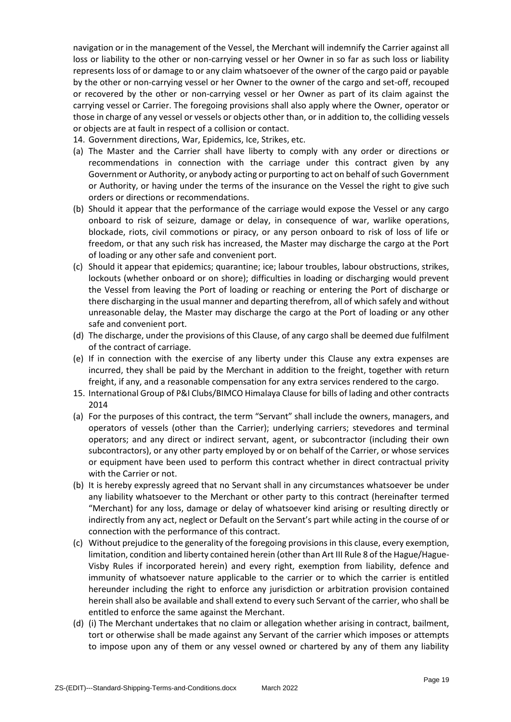navigation or in the management of the Vessel, the Merchant will indemnify the Carrier against all loss or liability to the other or non-carrying vessel or her Owner in so far as such loss or liability represents loss of or damage to or any claim whatsoever of the owner of the cargo paid or payable by the other or non-carrying vessel or her Owner to the owner of the cargo and set-off, recouped or recovered by the other or non-carrying vessel or her Owner as part of its claim against the carrying vessel or Carrier. The foregoing provisions shall also apply where the Owner, operator or those in charge of any vessel or vessels or objects other than, or in addition to, the colliding vessels or objects are at fault in respect of a collision or contact.

14. Government directions, War, Epidemics, Ice, Strikes, etc.

- (a) The Master and the Carrier shall have liberty to comply with any order or directions or recommendations in connection with the carriage under this contract given by any Government or Authority, or anybody acting or purporting to act on behalf of such Government or Authority, or having under the terms of the insurance on the Vessel the right to give such orders or directions or recommendations.
- (b) Should it appear that the performance of the carriage would expose the Vessel or any cargo onboard to risk of seizure, damage or delay, in consequence of war, warlike operations, blockade, riots, civil commotions or piracy, or any person onboard to risk of loss of life or freedom, or that any such risk has increased, the Master may discharge the cargo at the Port of loading or any other safe and convenient port.
- (c) Should it appear that epidemics; quarantine; ice; labour troubles, labour obstructions, strikes, lockouts (whether onboard or on shore); difficulties in loading or discharging would prevent the Vessel from leaving the Port of loading or reaching or entering the Port of discharge or there discharging in the usual manner and departing therefrom, all of which safely and without unreasonable delay, the Master may discharge the cargo at the Port of loading or any other safe and convenient port.
- (d) The discharge, under the provisions of this Clause, of any cargo shall be deemed due fulfilment of the contract of carriage.
- (e) If in connection with the exercise of any liberty under this Clause any extra expenses are incurred, they shall be paid by the Merchant in addition to the freight, together with return freight, if any, and a reasonable compensation for any extra services rendered to the cargo.
- 15. International Group of P&I Clubs/BIMCO Himalaya Clause for bills of lading and other contracts 2014
- (a) For the purposes of this contract, the term "Servant" shall include the owners, managers, and operators of vessels (other than the Carrier); underlying carriers; stevedores and terminal operators; and any direct or indirect servant, agent, or subcontractor (including their own subcontractors), or any other party employed by or on behalf of the Carrier, or whose services or equipment have been used to perform this contract whether in direct contractual privity with the Carrier or not.
- (b) It is hereby expressly agreed that no Servant shall in any circumstances whatsoever be under any liability whatsoever to the Merchant or other party to this contract (hereinafter termed "Merchant) for any loss, damage or delay of whatsoever kind arising or resulting directly or indirectly from any act, neglect or Default on the Servant's part while acting in the course of or connection with the performance of this contract.
- (c) Without prejudice to the generality of the foregoing provisions in this clause, every exemption, limitation, condition and liberty contained herein (other than Art III Rule 8 of the Hague/Hague-Visby Rules if incorporated herein) and every right, exemption from liability, defence and immunity of whatsoever nature applicable to the carrier or to which the carrier is entitled hereunder including the right to enforce any jurisdiction or arbitration provision contained herein shall also be available and shall extend to every such Servant of the carrier, who shall be entitled to enforce the same against the Merchant.
- (d) (i) The Merchant undertakes that no claim or allegation whether arising in contract, bailment, tort or otherwise shall be made against any Servant of the carrier which imposes or attempts to impose upon any of them or any vessel owned or chartered by any of them any liability